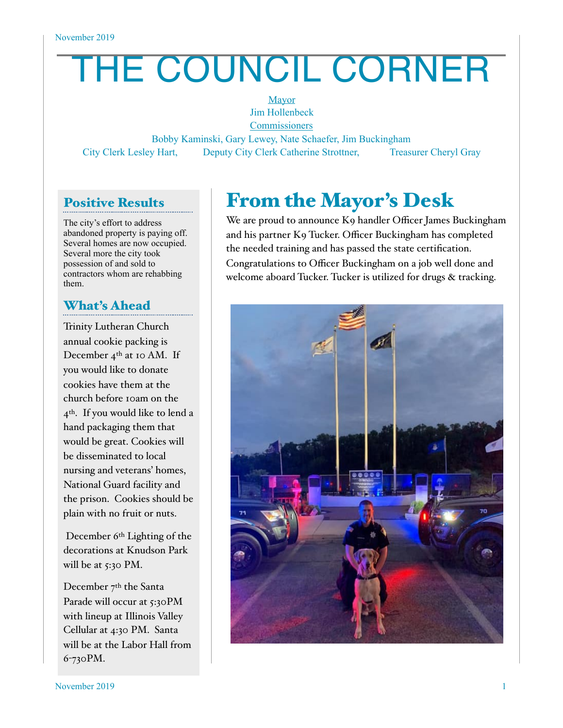# THE COUNCIL CORNER

**Mayor** Jim Hollenbeck **Commissioners** 

Bobby Kaminski, Gary Lewey, Nate Schaefer, Jim Buckingham City Clerk Lesley Hart, Deputy City Clerk Catherine Strottner, Treasurer Cheryl Gray

#### Positive Results

The city's effort to address abandoned property is paying off. Several homes are now occupied. Several more the city took possession of and sold to contractors whom are rehabbing them.

#### What's Ahead

Trinity Lutheran Church annual cookie packing is December  $4<sup>th</sup>$  at 10 AM. If you would like to donate cookies have them at the church before 10am on the 4th. If you would like to lend a hand packaging them that would be great. Cookies will be disseminated to local nursing and veterans' homes, National Guard facility and the prison. Cookies should be plain with no fruit or nuts.

 December 6th Lighting of the decorations at Knudson Park will be at  $5:30$  PM.

December 7<sup>th</sup> the Santa Parade will occur at 5:30PM with lineup at Illinois Valley Cellular at 4:30 PM. Santa will be at the Labor Hall from 6-730PM.

## From the Mayor's Desk

We are proud to announce K9 handler Officer James Buckingham and his partner K9 Tucker. Officer Buckingham has completed the needed training and has passed the state certification. Congratulations to Officer Buckingham on a job well done and welcome aboard Tucker. Tucker is utilized for drugs & tracking.